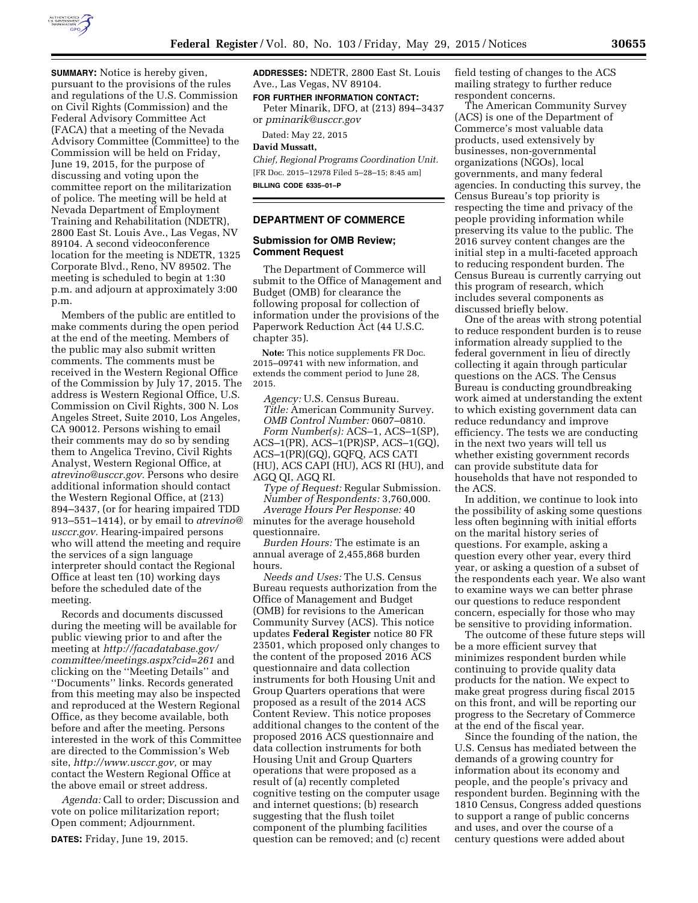

**SUMMARY:** Notice is hereby given, pursuant to the provisions of the rules and regulations of the U.S. Commission on Civil Rights (Commission) and the Federal Advisory Committee Act (FACA) that a meeting of the Nevada Advisory Committee (Committee) to the Commission will be held on Friday, June 19, 2015, for the purpose of discussing and voting upon the committee report on the militarization of police. The meeting will be held at Nevada Department of Employment Training and Rehabilitation (NDETR), 2800 East St. Louis Ave., Las Vegas, NV 89104. A second videoconference location for the meeting is NDETR, 1325 Corporate Blvd., Reno, NV 89502. The meeting is scheduled to begin at 1:30 p.m. and adjourn at approximately 3:00 p.m.

Members of the public are entitled to make comments during the open period at the end of the meeting. Members of the public may also submit written comments. The comments must be received in the Western Regional Office of the Commission by July 17, 2015. The address is Western Regional Office, U.S. Commission on Civil Rights, 300 N. Los Angeles Street, Suite 2010, Los Angeles, CA 90012. Persons wishing to email their comments may do so by sending them to Angelica Trevino, Civil Rights Analyst, Western Regional Office, at *[atrevino@usccr.gov.](mailto:atrevino@usccr.gov)* Persons who desire additional information should contact the Western Regional Office, at (213) 894–3437, (or for hearing impaired TDD 913–551–1414), or by email to *[atrevino@](mailto:atrevino@usccr.gov) [usccr.gov.](mailto:atrevino@usccr.gov)* Hearing-impaired persons who will attend the meeting and require the services of a sign language interpreter should contact the Regional Office at least ten (10) working days before the scheduled date of the meeting.

Records and documents discussed during the meeting will be available for public viewing prior to and after the meeting at *[http://facadatabase.gov/](http://facadatabase.gov/committee/meetings.aspx?cid=261) [committee/meetings.aspx?cid=261](http://facadatabase.gov/committee/meetings.aspx?cid=261)* and clicking on the ''Meeting Details'' and ''Documents'' links. Records generated from this meeting may also be inspected and reproduced at the Western Regional Office, as they become available, both before and after the meeting. Persons interested in the work of this Committee are directed to the Commission's Web site, *[http://www.usccr.gov,](http://www.usccr.gov)* or may contact the Western Regional Office at the above email or street address.

*Agenda:* Call to order; Discussion and vote on police militarization report; Open comment; Adjournment.

**DATES:** Friday, June 19, 2015.

**ADDRESSES:** NDETR, 2800 East St. Louis Ave., Las Vegas, NV 89104.

**FOR FURTHER INFORMATION CONTACT:** 

Peter Minarik, DFO, at (213) 894–3437 or *[pminarik@usccr.gov](mailto:pminarik@usccr.gov)* 

Dated: May 22, 2015

#### **David Mussatt,**

*Chief, Regional Programs Coordination Unit.*  [FR Doc. 2015–12978 Filed 5–28–15; 8:45 am] **BILLING CODE 6335–01–P** 

#### **DEPARTMENT OF COMMERCE**

### **Submission for OMB Review; Comment Request**

The Department of Commerce will submit to the Office of Management and Budget (OMB) for clearance the following proposal for collection of information under the provisions of the Paperwork Reduction Act (44 U.S.C. chapter 35).

**Note:** This notice supplements FR Doc. 2015–09741 with new information, and extends the comment period to June 28, 2015.

*Agency:* U.S. Census Bureau. *Title:* American Community Survey. *OMB Control Number:* 0607–0810. *Form Number(s):* ACS–1, ACS–1(SP), ACS–1(PR), ACS–1(PR)SP, ACS–1(GQ), ACS–1(PR)(GQ), GQFQ, ACS CATI (HU), ACS CAPI (HU), ACS RI (HU), and

AGQ QI, AGQ RI.

*Type of Request:* Regular Submission. *Number of Respondents:* 3,760,000.

*Average Hours Per Response:* 40 minutes for the average household questionnaire.

*Burden Hours:* The estimate is an annual average of 2,455,868 burden hours.

*Needs and Uses:* The U.S. Census Bureau requests authorization from the Office of Management and Budget (OMB) for revisions to the American Community Survey (ACS). This notice updates **Federal Register** notice 80 FR 23501, which proposed only changes to the content of the proposed 2016 ACS questionnaire and data collection instruments for both Housing Unit and Group Quarters operations that were proposed as a result of the 2014 ACS Content Review. This notice proposes additional changes to the content of the proposed 2016 ACS questionnaire and data collection instruments for both Housing Unit and Group Quarters operations that were proposed as a result of (a) recently completed cognitive testing on the computer usage and internet questions; (b) research suggesting that the flush toilet component of the plumbing facilities question can be removed; and (c) recent field testing of changes to the ACS mailing strategy to further reduce respondent concerns.

The American Community Survey (ACS) is one of the Department of Commerce's most valuable data products, used extensively by businesses, non-governmental organizations (NGOs), local governments, and many federal agencies. In conducting this survey, the Census Bureau's top priority is respecting the time and privacy of the people providing information while preserving its value to the public. The 2016 survey content changes are the initial step in a multi-faceted approach to reducing respondent burden. The Census Bureau is currently carrying out this program of research, which includes several components as discussed briefly below.

One of the areas with strong potential to reduce respondent burden is to reuse information already supplied to the federal government in lieu of directly collecting it again through particular questions on the ACS. The Census Bureau is conducting groundbreaking work aimed at understanding the extent to which existing government data can reduce redundancy and improve efficiency. The tests we are conducting in the next two years will tell us whether existing government records can provide substitute data for households that have not responded to the ACS.

In addition, we continue to look into the possibility of asking some questions less often beginning with initial efforts on the marital history series of questions. For example, asking a question every other year, every third year, or asking a question of a subset of the respondents each year. We also want to examine ways we can better phrase our questions to reduce respondent concern, especially for those who may be sensitive to providing information.

The outcome of these future steps will be a more efficient survey that minimizes respondent burden while continuing to provide quality data products for the nation. We expect to make great progress during fiscal 2015 on this front, and will be reporting our progress to the Secretary of Commerce at the end of the fiscal year.

Since the founding of the nation, the U.S. Census has mediated between the demands of a growing country for information about its economy and people, and the people's privacy and respondent burden. Beginning with the 1810 Census, Congress added questions to support a range of public concerns and uses, and over the course of a century questions were added about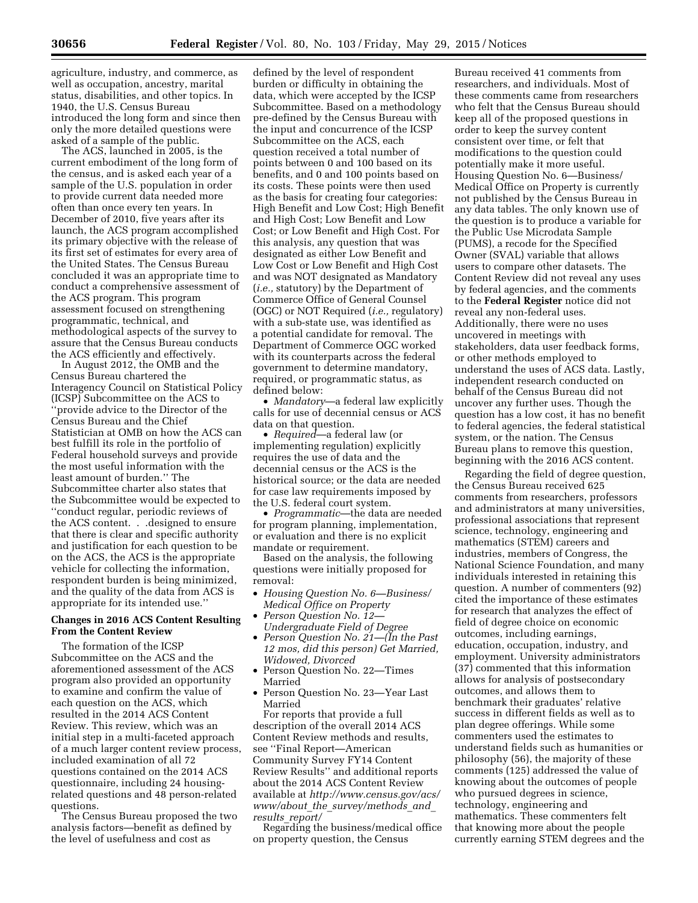agriculture, industry, and commerce, as well as occupation, ancestry, marital status, disabilities, and other topics. In 1940, the U.S. Census Bureau introduced the long form and since then only the more detailed questions were asked of a sample of the public.

The ACS, launched in 2005, is the current embodiment of the long form of the census, and is asked each year of a sample of the U.S. population in order to provide current data needed more often than once every ten years. In December of 2010, five years after its launch, the ACS program accomplished its primary objective with the release of its first set of estimates for every area of the United States. The Census Bureau concluded it was an appropriate time to conduct a comprehensive assessment of the ACS program. This program assessment focused on strengthening programmatic, technical, and methodological aspects of the survey to assure that the Census Bureau conducts the ACS efficiently and effectively.

In August 2012, the OMB and the Census Bureau chartered the Interagency Council on Statistical Policy (ICSP) Subcommittee on the ACS to ''provide advice to the Director of the Census Bureau and the Chief Statistician at OMB on how the ACS can best fulfill its role in the portfolio of Federal household surveys and provide the most useful information with the least amount of burden.'' The Subcommittee charter also states that the Subcommittee would be expected to ''conduct regular, periodic reviews of the ACS content. . .designed to ensure that there is clear and specific authority and justification for each question to be on the ACS, the ACS is the appropriate vehicle for collecting the information, respondent burden is being minimized, and the quality of the data from ACS is appropriate for its intended use.''

# **Changes in 2016 ACS Content Resulting From the Content Review**

The formation of the ICSP Subcommittee on the ACS and the aforementioned assessment of the ACS program also provided an opportunity to examine and confirm the value of each question on the ACS, which resulted in the 2014 ACS Content Review. This review, which was an initial step in a multi-faceted approach of a much larger content review process, included examination of all 72 questions contained on the 2014 ACS questionnaire, including 24 housingrelated questions and 48 person-related questions.

The Census Bureau proposed the two analysis factors—benefit as defined by the level of usefulness and cost as

defined by the level of respondent burden or difficulty in obtaining the data, which were accepted by the ICSP Subcommittee. Based on a methodology pre-defined by the Census Bureau with the input and concurrence of the ICSP Subcommittee on the ACS, each question received a total number of points between 0 and 100 based on its benefits, and 0 and 100 points based on its costs. These points were then used as the basis for creating four categories: High Benefit and Low Cost; High Benefit and High Cost; Low Benefit and Low Cost; or Low Benefit and High Cost. For this analysis, any question that was designated as either Low Benefit and Low Cost or Low Benefit and High Cost and was NOT designated as Mandatory (*i.e.,* statutory) by the Department of Commerce Office of General Counsel (OGC) or NOT Required (*i.e.,* regulatory) with a sub-state use, was identified as a potential candidate for removal. The Department of Commerce OGC worked with its counterparts across the federal government to determine mandatory, required, or programmatic status, as defined below:

• *Mandatory*—a federal law explicitly calls for use of decennial census or ACS data on that question.

• *Required*—a federal law (or implementing regulation) explicitly requires the use of data and the decennial census or the ACS is the historical source; or the data are needed for case law requirements imposed by the U.S. federal court system.

• *Programmatic*—the data are needed for program planning, implementation, or evaluation and there is no explicit mandate or requirement.

Based on the analysis, the following questions were initially proposed for removal:

- *Housing Question No. 6—Business/ Medical Office on Property*
- *Person Question No. 12— Undergraduate Field of Degree*
- *Person Question No. 21—(In the Past 12 mos, did this person) Get Married, Widowed, Divorced*
- Person Question No. 22—Times Married
- Person Question No. 23—Year Last Married

For reports that provide a full description of the overall 2014 ACS Content Review methods and results, see ''Final Report—American Community Survey FY14 Content Review Results'' and additional reports about the 2014 ACS Content Review available at *[http://www.census.gov/acs/](http://www.census.gov/acs/www/about_the_survey/methods_and_results_report/) www/about*\_*the*\_*[survey/methods](http://www.census.gov/acs/www/about_the_survey/methods_and_results_report/)*\_*and*\_ *results*\_*[report/](http://www.census.gov/acs/www/about_the_survey/methods_and_results_report/)* 

Regarding the business/medical office on property question, the Census

Bureau received 41 comments from researchers, and individuals. Most of these comments came from researchers who felt that the Census Bureau should keep all of the proposed questions in order to keep the survey content consistent over time, or felt that modifications to the question could potentially make it more useful. Housing Question No. 6—Business/ Medical Office on Property is currently not published by the Census Bureau in any data tables. The only known use of the question is to produce a variable for the Public Use Microdata Sample (PUMS), a recode for the Specified Owner (SVAL) variable that allows users to compare other datasets. The Content Review did not reveal any uses by federal agencies, and the comments to the **Federal Register** notice did not reveal any non-federal uses. Additionally, there were no uses uncovered in meetings with stakeholders, data user feedback forms, or other methods employed to understand the uses of ACS data. Lastly, independent research conducted on behalf of the Census Bureau did not uncover any further uses. Though the question has a low cost, it has no benefit to federal agencies, the federal statistical system, or the nation. The Census Bureau plans to remove this question, beginning with the 2016 ACS content.

Regarding the field of degree question, the Census Bureau received 625 comments from researchers, professors and administrators at many universities, professional associations that represent science, technology, engineering and mathematics (STEM) careers and industries, members of Congress, the National Science Foundation, and many individuals interested in retaining this question. A number of commenters (92) cited the importance of these estimates for research that analyzes the effect of field of degree choice on economic outcomes, including earnings, education, occupation, industry, and employment. University administrators (37) commented that this information allows for analysis of postsecondary outcomes, and allows them to benchmark their graduates' relative success in different fields as well as to plan degree offerings. While some commenters used the estimates to understand fields such as humanities or philosophy (56), the majority of these comments (125) addressed the value of knowing about the outcomes of people who pursued degrees in science, technology, engineering and mathematics. These commenters felt that knowing more about the people currently earning STEM degrees and the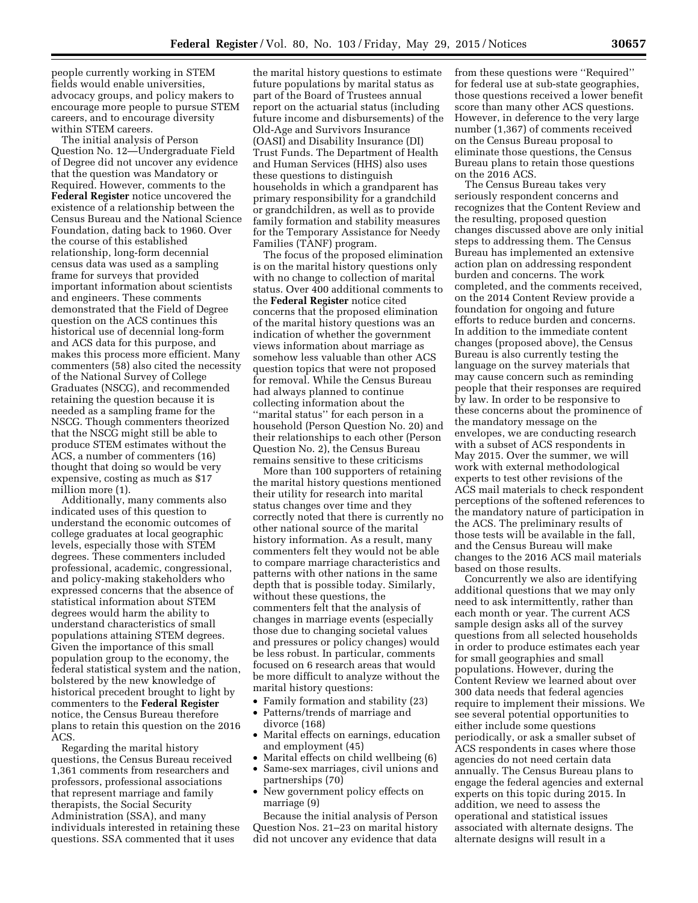people currently working in STEM fields would enable universities, advocacy groups, and policy makers to encourage more people to pursue STEM careers, and to encourage diversity within STEM careers.

The initial analysis of Person Question No. 12—Undergraduate Field of Degree did not uncover any evidence that the question was Mandatory or Required. However, comments to the **Federal Register** notice uncovered the existence of a relationship between the Census Bureau and the National Science Foundation, dating back to 1960. Over the course of this established relationship, long-form decennial census data was used as a sampling frame for surveys that provided important information about scientists and engineers. These comments demonstrated that the Field of Degree question on the ACS continues this historical use of decennial long-form and ACS data for this purpose, and makes this process more efficient. Many commenters (58) also cited the necessity of the National Survey of College Graduates (NSCG), and recommended retaining the question because it is needed as a sampling frame for the NSCG. Though commenters theorized that the NSCG might still be able to produce STEM estimates without the ACS, a number of commenters (16) thought that doing so would be very expensive, costing as much as \$17 million more (1).

Additionally, many comments also indicated uses of this question to understand the economic outcomes of college graduates at local geographic levels, especially those with STEM degrees. These commenters included professional, academic, congressional, and policy-making stakeholders who expressed concerns that the absence of statistical information about STEM degrees would harm the ability to understand characteristics of small populations attaining STEM degrees. Given the importance of this small population group to the economy, the federal statistical system and the nation, bolstered by the new knowledge of historical precedent brought to light by commenters to the **Federal Register**  notice, the Census Bureau therefore plans to retain this question on the 2016 ACS.

Regarding the marital history questions, the Census Bureau received 1,361 comments from researchers and professors, professional associations that represent marriage and family therapists, the Social Security Administration (SSA), and many individuals interested in retaining these questions. SSA commented that it uses

the marital history questions to estimate future populations by marital status as part of the Board of Trustees annual report on the actuarial status (including future income and disbursements) of the Old-Age and Survivors Insurance (OASI) and Disability Insurance (DI) Trust Funds. The Department of Health and Human Services (HHS) also uses these questions to distinguish households in which a grandparent has primary responsibility for a grandchild or grandchildren, as well as to provide family formation and stability measures for the Temporary Assistance for Needy Families (TANF) program.

The focus of the proposed elimination is on the marital history questions only with no change to collection of marital status. Over 400 additional comments to the **Federal Register** notice cited concerns that the proposed elimination of the marital history questions was an indication of whether the government views information about marriage as somehow less valuable than other ACS question topics that were not proposed for removal. While the Census Bureau had always planned to continue collecting information about the ''marital status'' for each person in a household (Person Question No. 20) and their relationships to each other (Person Question No. 2), the Census Bureau remains sensitive to these criticisms

More than 100 supporters of retaining the marital history questions mentioned their utility for research into marital status changes over time and they correctly noted that there is currently no other national source of the marital history information. As a result, many commenters felt they would not be able to compare marriage characteristics and patterns with other nations in the same depth that is possible today. Similarly, without these questions, the commenters felt that the analysis of changes in marriage events (especially those due to changing societal values and pressures or policy changes) would be less robust. In particular, comments focused on 6 research areas that would be more difficult to analyze without the marital history questions:

- Family formation and stability (23)
- Patterns/trends of marriage and divorce (168)
- Marital effects on earnings, education and employment (45)
- Marital effects on child wellbeing (6)
- Same-sex marriages, civil unions and partnerships (70)
- New government policy effects on marriage (9)

Because the initial analysis of Person Question Nos. 21–23 on marital history did not uncover any evidence that data

from these questions were ''Required'' for federal use at sub-state geographies, those questions received a lower benefit score than many other ACS questions. However, in deference to the very large number (1,367) of comments received on the Census Bureau proposal to eliminate those questions, the Census Bureau plans to retain those questions on the 2016 ACS.

The Census Bureau takes very seriously respondent concerns and recognizes that the Content Review and the resulting, proposed question changes discussed above are only initial steps to addressing them. The Census Bureau has implemented an extensive action plan on addressing respondent burden and concerns. The work completed, and the comments received, on the 2014 Content Review provide a foundation for ongoing and future efforts to reduce burden and concerns. In addition to the immediate content changes (proposed above), the Census Bureau is also currently testing the language on the survey materials that may cause concern such as reminding people that their responses are required by law. In order to be responsive to these concerns about the prominence of the mandatory message on the envelopes, we are conducting research with a subset of ACS respondents in May 2015. Over the summer, we will work with external methodological experts to test other revisions of the ACS mail materials to check respondent perceptions of the softened references to the mandatory nature of participation in the ACS. The preliminary results of those tests will be available in the fall, and the Census Bureau will make changes to the 2016 ACS mail materials based on those results.

Concurrently we also are identifying additional questions that we may only need to ask intermittently, rather than each month or year. The current ACS sample design asks all of the survey questions from all selected households in order to produce estimates each year for small geographies and small populations. However, during the Content Review we learned about over 300 data needs that federal agencies require to implement their missions. We see several potential opportunities to either include some questions periodically, or ask a smaller subset of ACS respondents in cases where those agencies do not need certain data annually. The Census Bureau plans to engage the federal agencies and external experts on this topic during 2015. In addition, we need to assess the operational and statistical issues associated with alternate designs. The alternate designs will result in a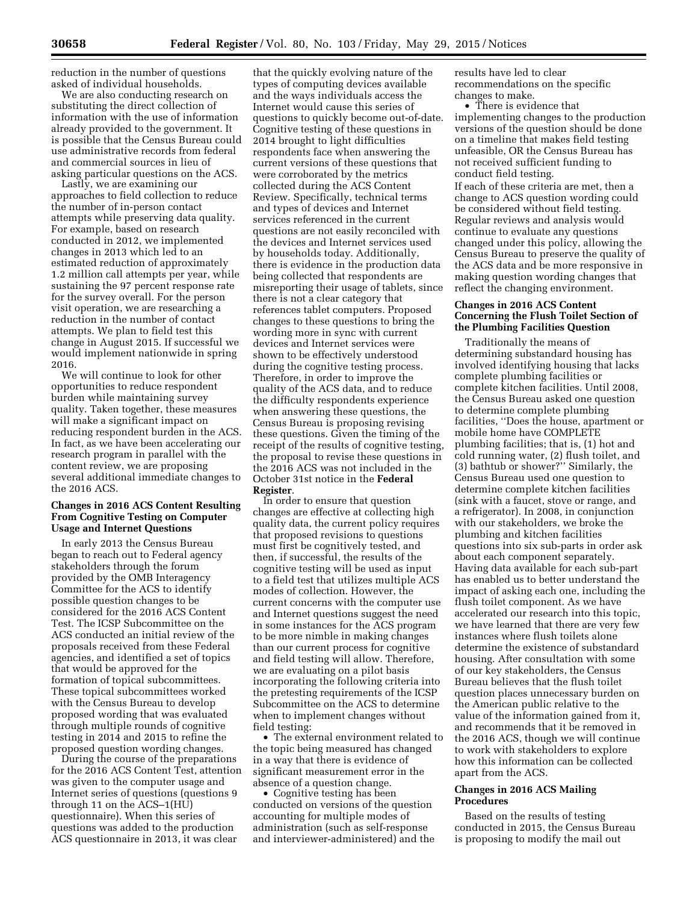reduction in the number of questions asked of individual households.

We are also conducting research on substituting the direct collection of information with the use of information already provided to the government. It is possible that the Census Bureau could use administrative records from federal and commercial sources in lieu of asking particular questions on the ACS.

Lastly, we are examining our approaches to field collection to reduce the number of in-person contact attempts while preserving data quality. For example, based on research conducted in 2012, we implemented changes in 2013 which led to an estimated reduction of approximately 1.2 million call attempts per year, while sustaining the 97 percent response rate for the survey overall. For the person visit operation, we are researching a reduction in the number of contact attempts. We plan to field test this change in August 2015. If successful we would implement nationwide in spring 2016.

We will continue to look for other opportunities to reduce respondent burden while maintaining survey quality. Taken together, these measures will make a significant impact on reducing respondent burden in the ACS. In fact, as we have been accelerating our research program in parallel with the content review, we are proposing several additional immediate changes to the 2016 ACS.

# **Changes in 2016 ACS Content Resulting From Cognitive Testing on Computer Usage and Internet Questions**

In early 2013 the Census Bureau began to reach out to Federal agency stakeholders through the forum provided by the OMB Interagency Committee for the ACS to identify possible question changes to be considered for the 2016 ACS Content Test. The ICSP Subcommittee on the ACS conducted an initial review of the proposals received from these Federal agencies, and identified a set of topics that would be approved for the formation of topical subcommittees. These topical subcommittees worked with the Census Bureau to develop proposed wording that was evaluated through multiple rounds of cognitive testing in 2014 and 2015 to refine the proposed question wording changes.

During the course of the preparations for the 2016 ACS Content Test, attention was given to the computer usage and Internet series of questions (questions 9 through 11 on the ACS–1(HU) questionnaire). When this series of questions was added to the production ACS questionnaire in 2013, it was clear

that the quickly evolving nature of the types of computing devices available and the ways individuals access the Internet would cause this series of questions to quickly become out-of-date. Cognitive testing of these questions in 2014 brought to light difficulties respondents face when answering the current versions of these questions that were corroborated by the metrics collected during the ACS Content Review. Specifically, technical terms and types of devices and Internet services referenced in the current questions are not easily reconciled with the devices and Internet services used by households today. Additionally, there is evidence in the production data being collected that respondents are misreporting their usage of tablets, since there is not a clear category that references tablet computers. Proposed changes to these questions to bring the wording more in sync with current devices and Internet services were shown to be effectively understood during the cognitive testing process. Therefore, in order to improve the quality of the ACS data, and to reduce the difficulty respondents experience when answering these questions, the Census Bureau is proposing revising these questions. Given the timing of the receipt of the results of cognitive testing, the proposal to revise these questions in the 2016 ACS was not included in the October 31st notice in the **Federal Register**.

In order to ensure that question changes are effective at collecting high quality data, the current policy requires that proposed revisions to questions must first be cognitively tested, and then, if successful, the results of the cognitive testing will be used as input to a field test that utilizes multiple ACS modes of collection. However, the current concerns with the computer use and Internet questions suggest the need in some instances for the ACS program to be more nimble in making changes than our current process for cognitive and field testing will allow. Therefore, we are evaluating on a pilot basis incorporating the following criteria into the pretesting requirements of the ICSP Subcommittee on the ACS to determine when to implement changes without field testing:

• The external environment related to the topic being measured has changed in a way that there is evidence of significant measurement error in the absence of a question change.

• Cognitive testing has been conducted on versions of the question accounting for multiple modes of administration (such as self-response and interviewer-administered) and the results have led to clear recommendations on the specific changes to make.

• There is evidence that implementing changes to the production versions of the question should be done on a timeline that makes field testing unfeasible, OR the Census Bureau has not received sufficient funding to conduct field testing.

If each of these criteria are met, then a change to ACS question wording could be considered without field testing. Regular reviews and analysis would continue to evaluate any questions changed under this policy, allowing the Census Bureau to preserve the quality of the ACS data and be more responsive in making question wording changes that reflect the changing environment.

# **Changes in 2016 ACS Content Concerning the Flush Toilet Section of the Plumbing Facilities Question**

Traditionally the means of determining substandard housing has involved identifying housing that lacks complete plumbing facilities or complete kitchen facilities. Until 2008, the Census Bureau asked one question to determine complete plumbing facilities, ''Does the house, apartment or mobile home have COMPLETE plumbing facilities; that is, (1) hot and cold running water, (2) flush toilet, and (3) bathtub or shower?'' Similarly, the Census Bureau used one question to determine complete kitchen facilities (sink with a faucet, stove or range, and a refrigerator). In 2008, in conjunction with our stakeholders, we broke the plumbing and kitchen facilities questions into six sub-parts in order ask about each component separately. Having data available for each sub-part has enabled us to better understand the impact of asking each one, including the flush toilet component. As we have accelerated our research into this topic, we have learned that there are very few instances where flush toilets alone determine the existence of substandard housing. After consultation with some of our key stakeholders, the Census Bureau believes that the flush toilet question places unnecessary burden on the American public relative to the value of the information gained from it, and recommends that it be removed in the 2016 ACS, though we will continue to work with stakeholders to explore how this information can be collected apart from the ACS.

### **Changes in 2016 ACS Mailing Procedures**

Based on the results of testing conducted in 2015, the Census Bureau is proposing to modify the mail out